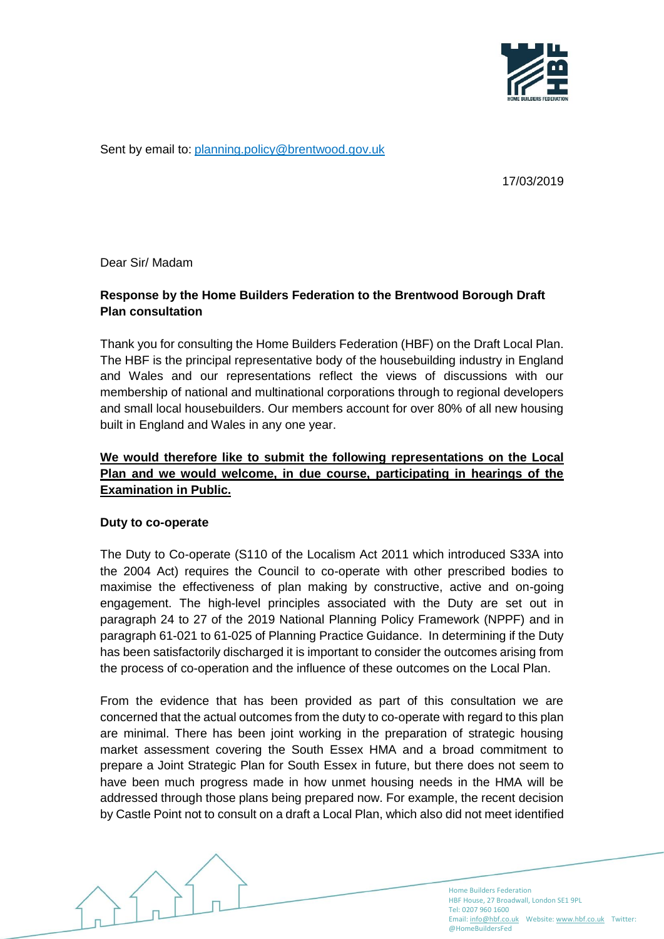

Sent by email to: [planning.policy@brentwood.gov.uk](mailto:planning.policy@brentwood.gov.uk)

17/03/2019

Dear Sir/ Madam

# **Response by the Home Builders Federation to the Brentwood Borough Draft Plan consultation**

Thank you for consulting the Home Builders Federation (HBF) on the Draft Local Plan. The HBF is the principal representative body of the housebuilding industry in England and Wales and our representations reflect the views of discussions with our membership of national and multinational corporations through to regional developers and small local housebuilders. Our members account for over 80% of all new housing built in England and Wales in any one year.

# **We would therefore like to submit the following representations on the Local Plan and we would welcome, in due course, participating in hearings of the Examination in Public.**

#### **Duty to co-operate**

The Duty to Co-operate (S110 of the Localism Act 2011 which introduced S33A into the 2004 Act) requires the Council to co-operate with other prescribed bodies to maximise the effectiveness of plan making by constructive, active and on-going engagement. The high-level principles associated with the Duty are set out in paragraph 24 to 27 of the 2019 National Planning Policy Framework (NPPF) and in paragraph 61-021 to 61-025 of Planning Practice Guidance. In determining if the Duty has been satisfactorily discharged it is important to consider the outcomes arising from the process of co-operation and the influence of these outcomes on the Local Plan.

From the evidence that has been provided as part of this consultation we are concerned that the actual outcomes from the duty to co-operate with regard to this plan are minimal. There has been joint working in the preparation of strategic housing market assessment covering the South Essex HMA and a broad commitment to prepare a Joint Strategic Plan for South Essex in future, but there does not seem to have been much progress made in how unmet housing needs in the HMA will be addressed through those plans being prepared now. For example, the recent decision by Castle Point not to consult on a draft a Local Plan, which also did not meet identified

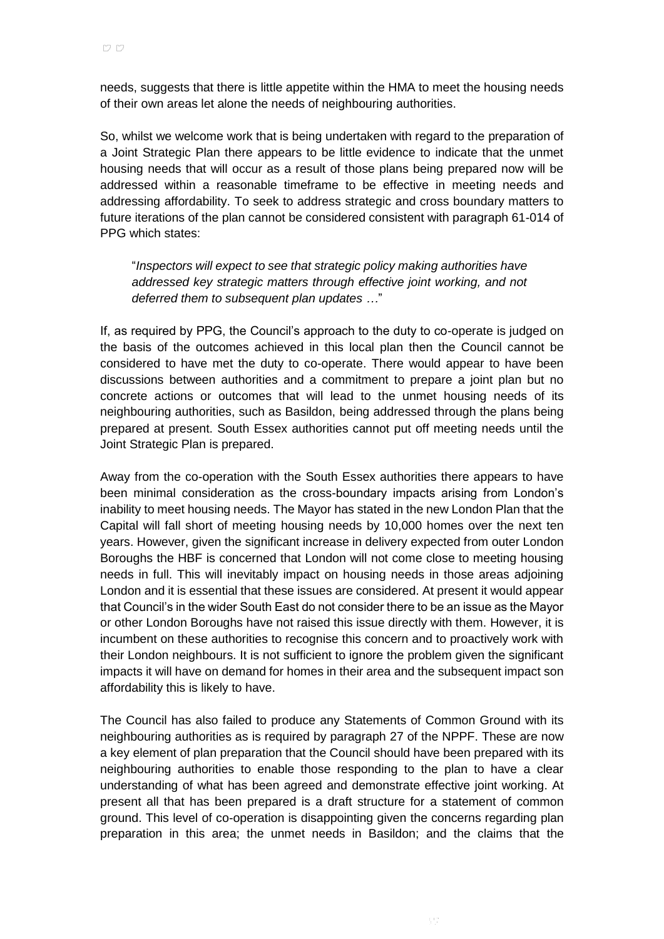needs, suggests that there is little appetite within the HMA to meet the housing needs of their own areas let alone the needs of neighbouring authorities.

So, whilst we welcome work that is being undertaken with regard to the preparation of a Joint Strategic Plan there appears to be little evidence to indicate that the unmet housing needs that will occur as a result of those plans being prepared now will be addressed within a reasonable timeframe to be effective in meeting needs and addressing affordability. To seek to address strategic and cross boundary matters to future iterations of the plan cannot be considered consistent with paragraph 61-014 of PPG which states:

"*Inspectors will expect to see that strategic policy making authorities have addressed key strategic matters through effective joint working, and not deferred them to subsequent plan updates …*"

If, as required by PPG, the Council's approach to the duty to co-operate is judged on the basis of the outcomes achieved in this local plan then the Council cannot be considered to have met the duty to co-operate. There would appear to have been discussions between authorities and a commitment to prepare a joint plan but no concrete actions or outcomes that will lead to the unmet housing needs of its neighbouring authorities, such as Basildon, being addressed through the plans being prepared at present. South Essex authorities cannot put off meeting needs until the Joint Strategic Plan is prepared.

Away from the co-operation with the South Essex authorities there appears to have been minimal consideration as the cross-boundary impacts arising from London's inability to meet housing needs. The Mayor has stated in the new London Plan that the Capital will fall short of meeting housing needs by 10,000 homes over the next ten years. However, given the significant increase in delivery expected from outer London Boroughs the HBF is concerned that London will not come close to meeting housing needs in full. This will inevitably impact on housing needs in those areas adjoining London and it is essential that these issues are considered. At present it would appear that Council's in the wider South East do not consider there to be an issue as the Mayor or other London Boroughs have not raised this issue directly with them. However, it is incumbent on these authorities to recognise this concern and to proactively work with their London neighbours. It is not sufficient to ignore the problem given the significant impacts it will have on demand for homes in their area and the subsequent impact son affordability this is likely to have.

The Council has also failed to produce any Statements of Common Ground with its neighbouring authorities as is required by paragraph 27 of the NPPF. These are now a key element of plan preparation that the Council should have been prepared with its neighbouring authorities to enable those responding to the plan to have a clear understanding of what has been agreed and demonstrate effective joint working. At present all that has been prepared is a draft structure for a statement of common ground. This level of co-operation is disappointing given the concerns regarding plan preparation in this area; the unmet needs in Basildon; and the claims that the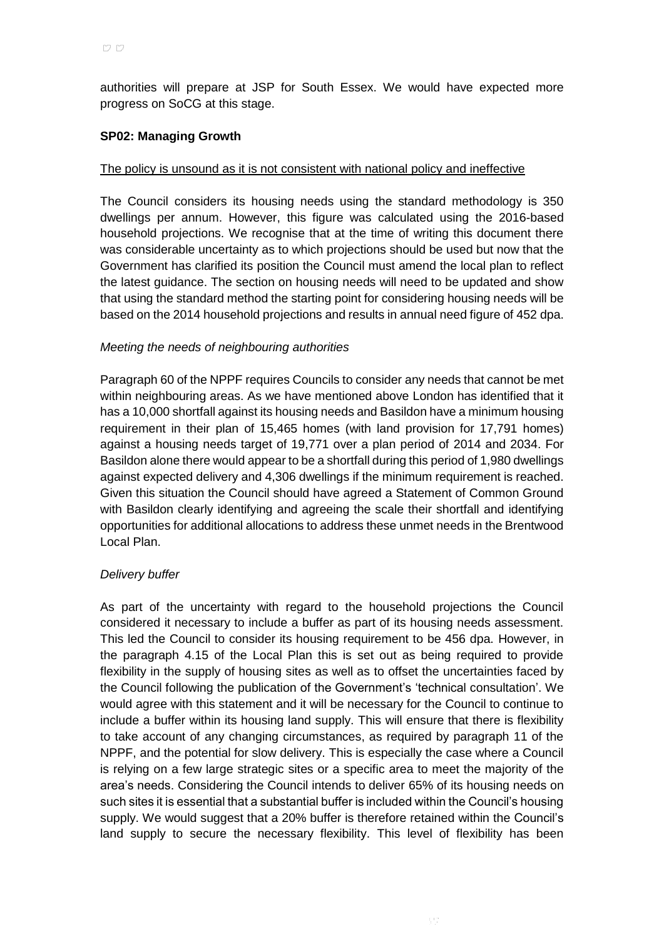authorities will prepare at JSP for South Essex. We would have expected more progress on SoCG at this stage.

### **SP02: Managing Growth**

#### The policy is unsound as it is not consistent with national policy and ineffective

The Council considers its housing needs using the standard methodology is 350 dwellings per annum. However, this figure was calculated using the 2016-based household projections. We recognise that at the time of writing this document there was considerable uncertainty as to which projections should be used but now that the Government has clarified its position the Council must amend the local plan to reflect the latest guidance. The section on housing needs will need to be updated and show that using the standard method the starting point for considering housing needs will be based on the 2014 household projections and results in annual need figure of 452 dpa.

#### *Meeting the needs of neighbouring authorities*

Paragraph 60 of the NPPF requires Councils to consider any needs that cannot be met within neighbouring areas. As we have mentioned above London has identified that it has a 10,000 shortfall against its housing needs and Basildon have a minimum housing requirement in their plan of 15,465 homes (with land provision for 17,791 homes) against a housing needs target of 19,771 over a plan period of 2014 and 2034. For Basildon alone there would appear to be a shortfall during this period of 1,980 dwellings against expected delivery and 4,306 dwellings if the minimum requirement is reached. Given this situation the Council should have agreed a Statement of Common Ground with Basildon clearly identifying and agreeing the scale their shortfall and identifying opportunities for additional allocations to address these unmet needs in the Brentwood Local Plan.

#### *Delivery buffer*

As part of the uncertainty with regard to the household projections the Council considered it necessary to include a buffer as part of its housing needs assessment. This led the Council to consider its housing requirement to be 456 dpa. However, in the paragraph 4.15 of the Local Plan this is set out as being required to provide flexibility in the supply of housing sites as well as to offset the uncertainties faced by the Council following the publication of the Government's 'technical consultation'. We would agree with this statement and it will be necessary for the Council to continue to include a buffer within its housing land supply. This will ensure that there is flexibility to take account of any changing circumstances, as required by paragraph 11 of the NPPF, and the potential for slow delivery. This is especially the case where a Council is relying on a few large strategic sites or a specific area to meet the majority of the area's needs. Considering the Council intends to deliver 65% of its housing needs on such sites it is essential that a substantial buffer is included within the Council's housing supply. We would suggest that a 20% buffer is therefore retained within the Council's land supply to secure the necessary flexibility. This level of flexibility has been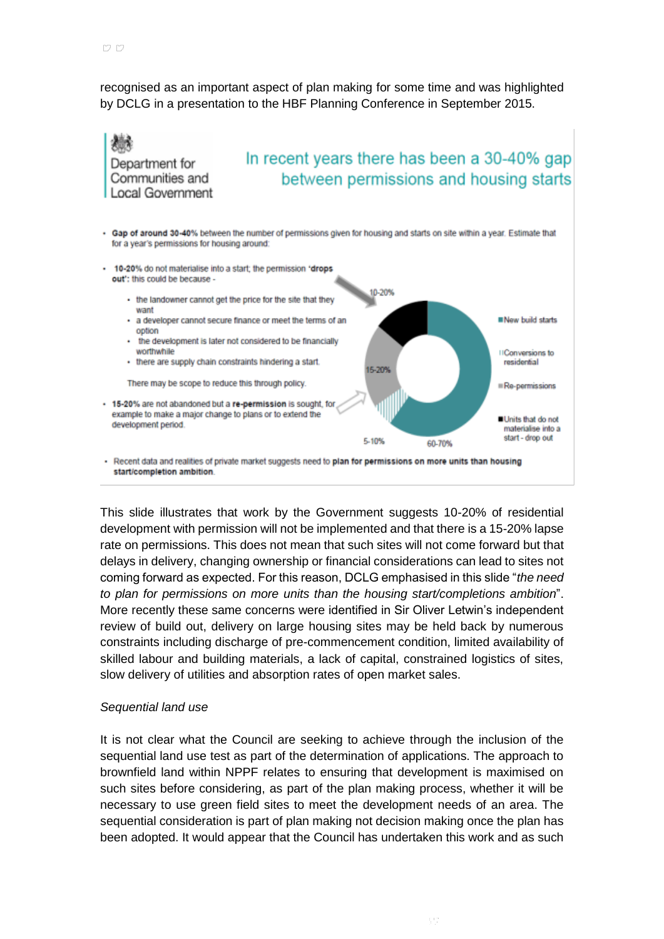recognised as an important aspect of plan making for some time and was highlighted by DCLG in a presentation to the HBF Planning Conference in September 2015.



- Recent data and realities of private market suggests need to plan for permissions on more units than housing start/completion ambition

This slide illustrates that work by the Government suggests 10-20% of residential development with permission will not be implemented and that there is a 15-20% lapse rate on permissions. This does not mean that such sites will not come forward but that delays in delivery, changing ownership or financial considerations can lead to sites not coming forward as expected. For this reason, DCLG emphasised in this slide "*the need to plan for permissions on more units than the housing start/completions ambition*". More recently these same concerns were identified in Sir Oliver Letwin's independent review of build out, delivery on large housing sites may be held back by numerous constraints including discharge of pre-commencement condition, limited availability of skilled labour and building materials, a lack of capital, constrained logistics of sites, slow delivery of utilities and absorption rates of open market sales.

#### *Sequential land use*

It is not clear what the Council are seeking to achieve through the inclusion of the sequential land use test as part of the determination of applications. The approach to brownfield land within NPPF relates to ensuring that development is maximised on such sites before considering, as part of the plan making process, whether it will be necessary to use green field sites to meet the development needs of an area. The sequential consideration is part of plan making not decision making once the plan has been adopted. It would appear that the Council has undertaken this work and as such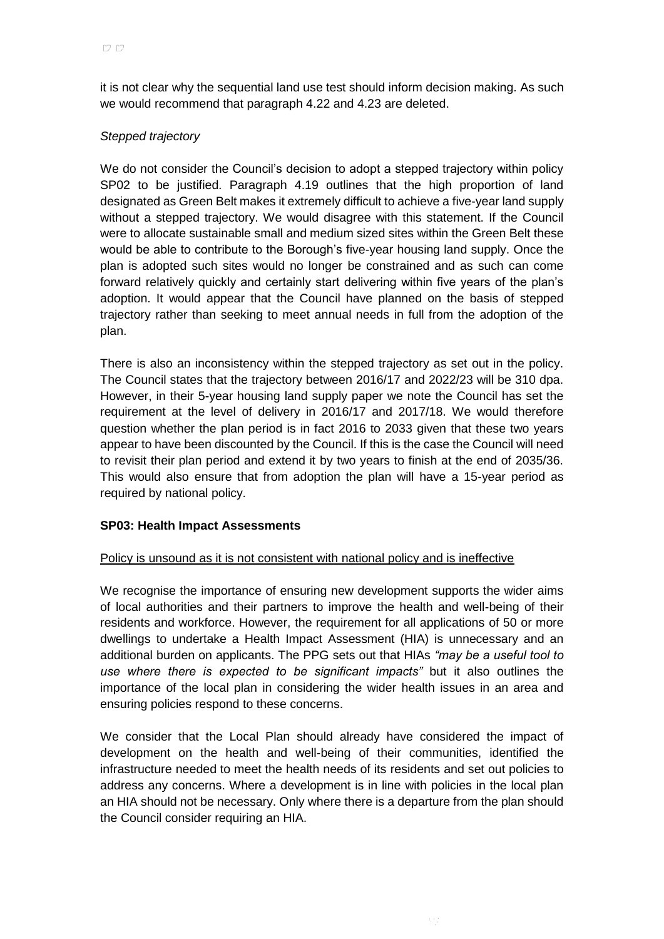it is not clear why the sequential land use test should inform decision making. As such we would recommend that paragraph 4.22 and 4.23 are deleted.

## *Stepped trajectory*

We do not consider the Council's decision to adopt a stepped trajectory within policy SP02 to be justified. Paragraph 4.19 outlines that the high proportion of land designated as Green Belt makes it extremely difficult to achieve a five-year land supply without a stepped trajectory. We would disagree with this statement. If the Council were to allocate sustainable small and medium sized sites within the Green Belt these would be able to contribute to the Borough's five-year housing land supply. Once the plan is adopted such sites would no longer be constrained and as such can come forward relatively quickly and certainly start delivering within five years of the plan's adoption. It would appear that the Council have planned on the basis of stepped trajectory rather than seeking to meet annual needs in full from the adoption of the plan.

There is also an inconsistency within the stepped trajectory as set out in the policy. The Council states that the trajectory between 2016/17 and 2022/23 will be 310 dpa. However, in their 5-year housing land supply paper we note the Council has set the requirement at the level of delivery in 2016/17 and 2017/18. We would therefore question whether the plan period is in fact 2016 to 2033 given that these two years appear to have been discounted by the Council. If this is the case the Council will need to revisit their plan period and extend it by two years to finish at the end of 2035/36. This would also ensure that from adoption the plan will have a 15-year period as required by national policy.

#### **SP03: Health Impact Assessments**

#### Policy is unsound as it is not consistent with national policy and is ineffective

We recognise the importance of ensuring new development supports the wider aims of local authorities and their partners to improve the health and well-being of their residents and workforce. However, the requirement for all applications of 50 or more dwellings to undertake a Health Impact Assessment (HIA) is unnecessary and an additional burden on applicants. The PPG sets out that HIAs *"may be a useful tool to use where there is expected to be significant impacts"* but it also outlines the importance of the local plan in considering the wider health issues in an area and ensuring policies respond to these concerns.

We consider that the Local Plan should already have considered the impact of development on the health and well-being of their communities, identified the infrastructure needed to meet the health needs of its residents and set out policies to address any concerns. Where a development is in line with policies in the local plan an HIA should not be necessary. Only where there is a departure from the plan should the Council consider requiring an HIA.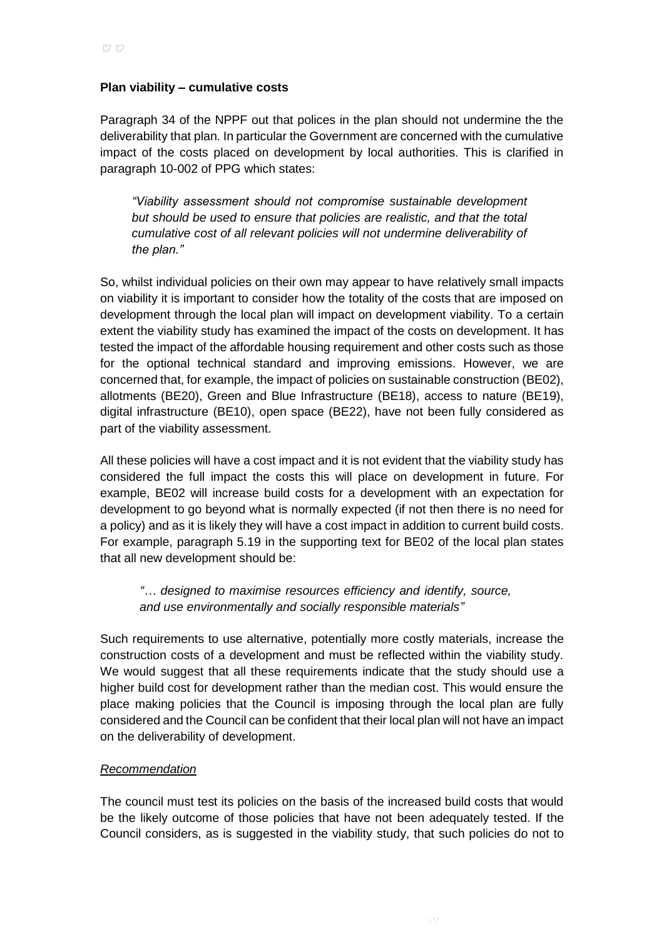#### **Plan viability – cumulative costs**

Paragraph 34 of the NPPF out that polices in the plan should not undermine the the deliverability that plan. In particular the Government are concerned with the cumulative impact of the costs placed on development by local authorities. This is clarified in paragraph 10-002 of PPG which states:

*"Viability assessment should not compromise sustainable development but should be used to ensure that policies are realistic, and that the total cumulative cost of all relevant policies will not undermine deliverability of the plan."*

So, whilst individual policies on their own may appear to have relatively small impacts on viability it is important to consider how the totality of the costs that are imposed on development through the local plan will impact on development viability. To a certain extent the viability study has examined the impact of the costs on development. It has tested the impact of the affordable housing requirement and other costs such as those for the optional technical standard and improving emissions. However, we are concerned that, for example, the impact of policies on sustainable construction (BE02), allotments (BE20), Green and Blue Infrastructure (BE18), access to nature (BE19), digital infrastructure (BE10), open space (BE22), have not been fully considered as part of the viability assessment.

All these policies will have a cost impact and it is not evident that the viability study has considered the full impact the costs this will place on development in future. For example, BE02 will increase build costs for a development with an expectation for development to go beyond what is normally expected (if not then there is no need for a policy) and as it is likely they will have a cost impact in addition to current build costs. For example, paragraph 5.19 in the supporting text for BE02 of the local plan states that all new development should be:

*"… designed to maximise resources efficiency and identify, source, and use environmentally and socially responsible materials"*

Such requirements to use alternative, potentially more costly materials, increase the construction costs of a development and must be reflected within the viability study. We would suggest that all these requirements indicate that the study should use a higher build cost for development rather than the median cost. This would ensure the place making policies that the Council is imposing through the local plan are fully considered and the Council can be confident that their local plan will not have an impact on the deliverability of development.

#### *Recommendation*

The council must test its policies on the basis of the increased build costs that would be the likely outcome of those policies that have not been adequately tested. If the Council considers, as is suggested in the viability study, that such policies do not to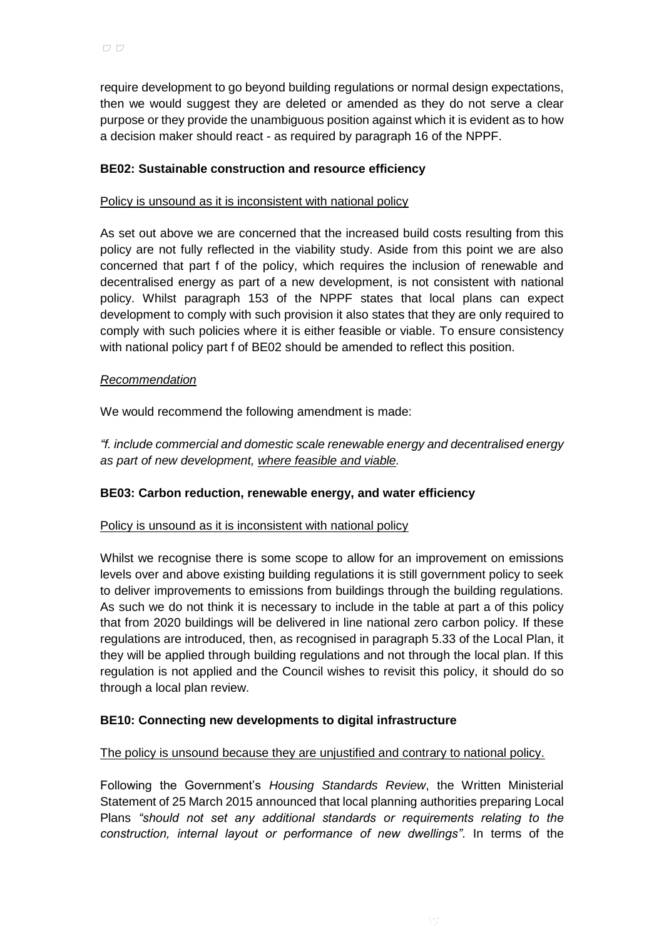require development to go beyond building regulations or normal design expectations, then we would suggest they are deleted or amended as they do not serve a clear purpose or they provide the unambiguous position against which it is evident as to how a decision maker should react - as required by paragraph 16 of the NPPF.

## **BE02: Sustainable construction and resource efficiency**

#### Policy is unsound as it is inconsistent with national policy

As set out above we are concerned that the increased build costs resulting from this policy are not fully reflected in the viability study. Aside from this point we are also concerned that part f of the policy, which requires the inclusion of renewable and decentralised energy as part of a new development, is not consistent with national policy. Whilst paragraph 153 of the NPPF states that local plans can expect development to comply with such provision it also states that they are only required to comply with such policies where it is either feasible or viable. To ensure consistency with national policy part f of BE02 should be amended to reflect this position.

#### *Recommendation*

We would recommend the following amendment is made:

*"f. include commercial and domestic scale renewable energy and decentralised energy as part of new development, where feasible and viable.*

#### **BE03: Carbon reduction, renewable energy, and water efficiency**

#### Policy is unsound as it is inconsistent with national policy

Whilst we recognise there is some scope to allow for an improvement on emissions levels over and above existing building regulations it is still government policy to seek to deliver improvements to emissions from buildings through the building regulations. As such we do not think it is necessary to include in the table at part a of this policy that from 2020 buildings will be delivered in line national zero carbon policy. If these regulations are introduced, then, as recognised in paragraph 5.33 of the Local Plan, it they will be applied through building regulations and not through the local plan. If this regulation is not applied and the Council wishes to revisit this policy, it should do so through a local plan review.

#### **BE10: Connecting new developments to digital infrastructure**

#### The policy is unsound because they are unjustified and contrary to national policy.

Following the Government's *Housing Standards Review*, the Written Ministerial Statement of 25 March 2015 announced that local planning authorities preparing Local Plans *"should not set any additional standards or requirements relating to the construction, internal layout or performance of new dwellings"*. In terms of the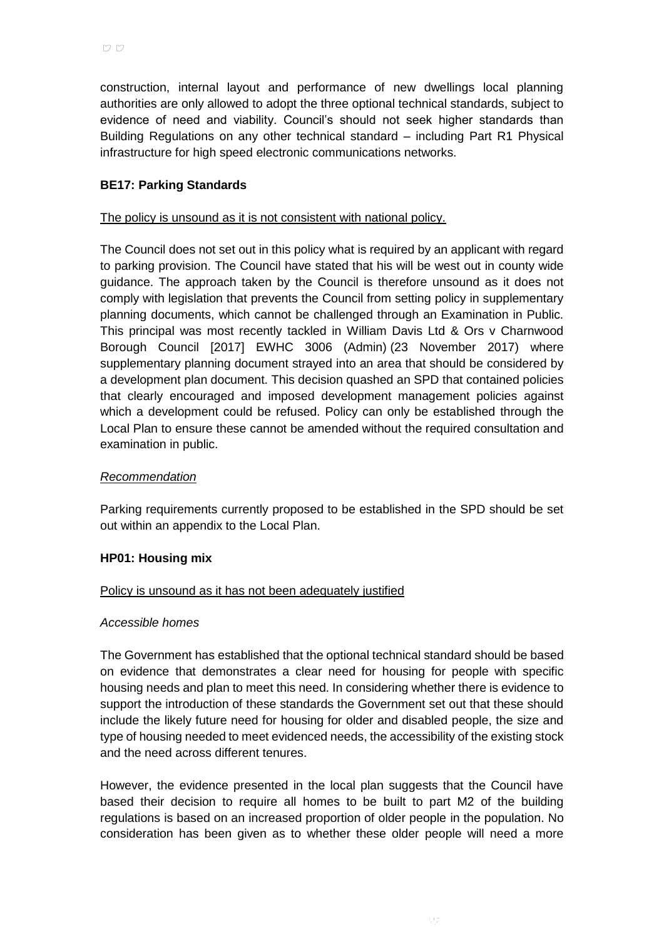construction, internal layout and performance of new dwellings local planning authorities are only allowed to adopt the three optional technical standards, subject to evidence of need and viability. Council's should not seek higher standards than Building Regulations on any other technical standard – including Part R1 Physical infrastructure for high speed electronic communications networks.

## **BE17: Parking Standards**

#### The policy is unsound as it is not consistent with national policy.

The Council does not set out in this policy what is required by an applicant with regard to parking provision. The Council have stated that his will be west out in county wide guidance. The approach taken by the Council is therefore unsound as it does not comply with legislation that prevents the Council from setting policy in supplementary planning documents, which cannot be challenged through an Examination in Public. This principal was most recently tackled in [William Davis Ltd & Ors v Charnwood](http://www.bailii.org/ew/cases/EWHC/Admin/2017/3006.html)  [Borough Council \[2017\] EWHC 3006 \(Admin\)](http://www.bailii.org/ew/cases/EWHC/Admin/2017/3006.html) (23 November 2017) where supplementary planning document strayed into an area that should be considered by a development plan document. This decision quashed an SPD that contained policies that clearly encouraged and imposed development management policies against which a development could be refused. Policy can only be established through the Local Plan to ensure these cannot be amended without the required consultation and examination in public.

#### *Recommendation*

Parking requirements currently proposed to be established in the SPD should be set out within an appendix to the Local Plan.

#### **HP01: Housing mix**

#### Policy is unsound as it has not been adequately justified

#### *Accessible homes*

The Government has established that the optional technical standard should be based on evidence that demonstrates a clear need for housing for people with specific housing needs and plan to meet this need. In considering whether there is evidence to support the introduction of these standards the Government set out that these should include the likely future need for housing for older and disabled people, the size and type of housing needed to meet evidenced needs, the accessibility of the existing stock and the need across different tenures.

However, the evidence presented in the local plan suggests that the Council have based their decision to require all homes to be built to part M2 of the building regulations is based on an increased proportion of older people in the population. No consideration has been given as to whether these older people will need a more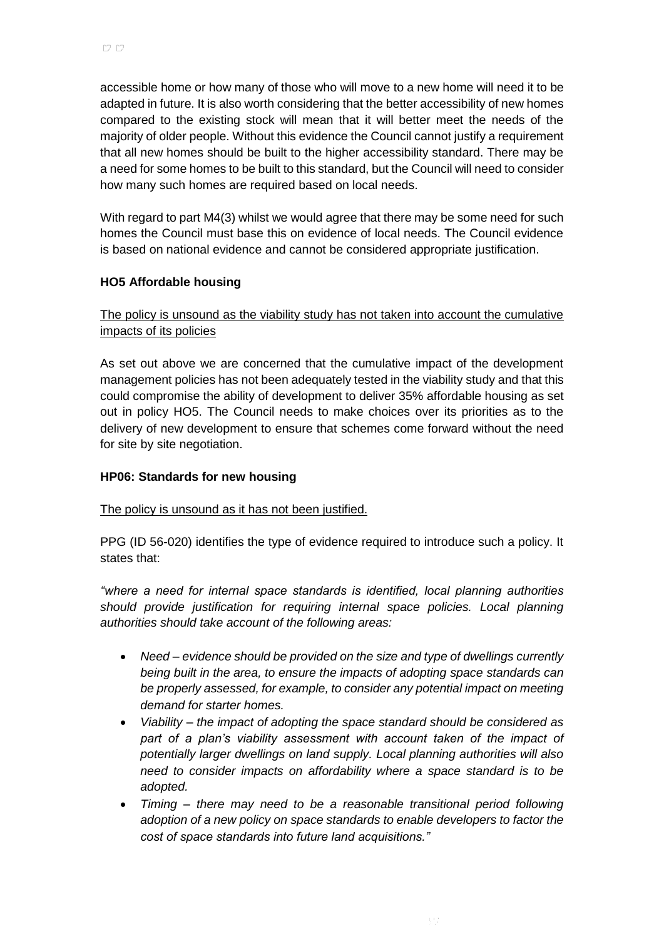accessible home or how many of those who will move to a new home will need it to be adapted in future. It is also worth considering that the better accessibility of new homes compared to the existing stock will mean that it will better meet the needs of the majority of older people. Without this evidence the Council cannot justify a requirement that all new homes should be built to the higher accessibility standard. There may be a need for some homes to be built to this standard, but the Council will need to consider how many such homes are required based on local needs.

With regard to part M4(3) whilst we would agree that there may be some need for such homes the Council must base this on evidence of local needs. The Council evidence is based on national evidence and cannot be considered appropriate justification.

# **HO5 Affordable housing**

# The policy is unsound as the viability study has not taken into account the cumulative impacts of its policies

As set out above we are concerned that the cumulative impact of the development management policies has not been adequately tested in the viability study and that this could compromise the ability of development to deliver 35% affordable housing as set out in policy HO5. The Council needs to make choices over its priorities as to the delivery of new development to ensure that schemes come forward without the need for site by site negotiation.

### **HP06: Standards for new housing**

### The policy is unsound as it has not been justified.

PPG (ID 56-020) identifies the type of evidence required to introduce such a policy. It states that:

*"where a need for internal space standards is identified, local planning authorities should provide justification for requiring internal space policies. Local planning authorities should take account of the following areas:*

- *Need – evidence should be provided on the size and type of dwellings currently being built in the area, to ensure the impacts of adopting space standards can be properly assessed, for example, to consider any potential impact on meeting demand for starter homes.*
- *Viability – the impact of adopting the space standard should be considered as part of a plan's viability assessment with account taken of the impact of potentially larger dwellings on land supply. Local planning authorities will also need to consider impacts on affordability where a space standard is to be adopted.*
- *Timing – there may need to be a reasonable transitional period following adoption of a new policy on space standards to enable developers to factor the cost of space standards into future land acquisitions."*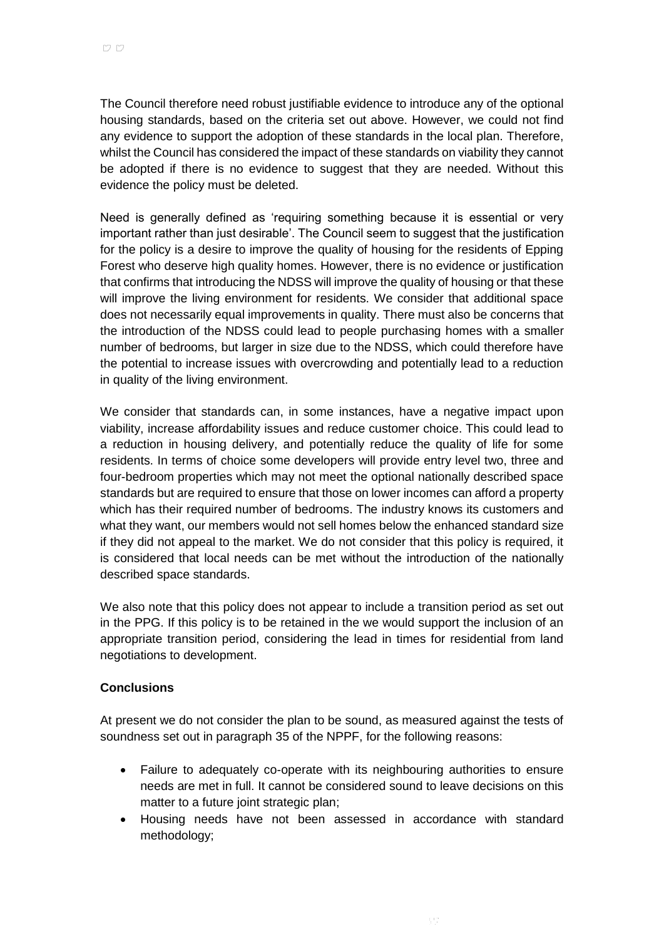The Council therefore need robust justifiable evidence to introduce any of the optional housing standards, based on the criteria set out above. However, we could not find any evidence to support the adoption of these standards in the local plan. Therefore, whilst the Council has considered the impact of these standards on viability they cannot be adopted if there is no evidence to suggest that they are needed. Without this evidence the policy must be deleted.

Need is generally defined as 'requiring something because it is essential or very important rather than just desirable'. The Council seem to suggest that the justification for the policy is a desire to improve the quality of housing for the residents of Epping Forest who deserve high quality homes. However, there is no evidence or justification that confirms that introducing the NDSS will improve the quality of housing or that these will improve the living environment for residents. We consider that additional space does not necessarily equal improvements in quality. There must also be concerns that the introduction of the NDSS could lead to people purchasing homes with a smaller number of bedrooms, but larger in size due to the NDSS, which could therefore have the potential to increase issues with overcrowding and potentially lead to a reduction in quality of the living environment.

We consider that standards can, in some instances, have a negative impact upon viability, increase affordability issues and reduce customer choice. This could lead to a reduction in housing delivery, and potentially reduce the quality of life for some residents. In terms of choice some developers will provide entry level two, three and four-bedroom properties which may not meet the optional nationally described space standards but are required to ensure that those on lower incomes can afford a property which has their required number of bedrooms. The industry knows its customers and what they want, our members would not sell homes below the enhanced standard size if they did not appeal to the market. We do not consider that this policy is required, it is considered that local needs can be met without the introduction of the nationally described space standards.

We also note that this policy does not appear to include a transition period as set out in the PPG. If this policy is to be retained in the we would support the inclusion of an appropriate transition period, considering the lead in times for residential from land negotiations to development.

#### **Conclusions**

At present we do not consider the plan to be sound, as measured against the tests of soundness set out in paragraph 35 of the NPPF, for the following reasons:

- Failure to adequately co-operate with its neighbouring authorities to ensure needs are met in full. It cannot be considered sound to leave decisions on this matter to a future joint strategic plan;
- Housing needs have not been assessed in accordance with standard methodology;